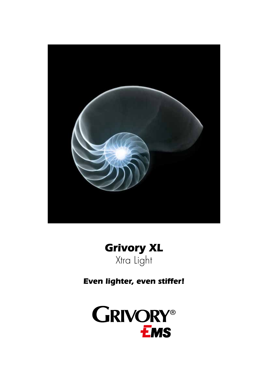



Even lighter, even stiffer!

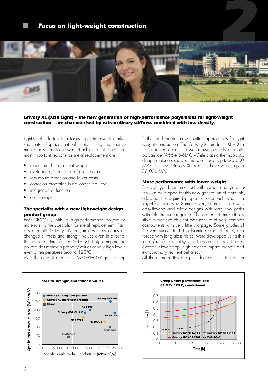# **Focus on light-weight construction**



### **Grivory XL (Xtra Light) – the new generation of high-performance polyamides for light-weight construction – are characterised by extraordinary stiffness combined with low density.**

Lightweight design is a focus topic in several market segments. Replacement of metal using high-performance polymers is one way of achieving this goal. The most important reasons for metal replacement are:

- reduction of component weight
- avoidance / reduction of post treatment
- less mould abrasion and lower costs
- corrosion protection is no longer required
- integration of function
- cost savings

### **The specialist with a new lightweight design product group**

EMS-GRIVORY, with its high-performance polyamide materials, is the specialist for metal replacement. Partially aromatic Grivory GV polyamides show nearly unchanged stiffness and strength values even in a conditioned state. Unreinforced Grivory HT high-temperature polyamides maintain property values at very high levels, even at temperatures around 120°C.

With the new XL products, EMS-GRIVORY goes a step



further and creates new solution approaches for lightweight construction. The Grivory XL products (XL = Xtra Light) are based on the well-known partially aromatic polyamide PA66+PA6l/X. While classic thermoplastic design materials show stiffness values of up to 20,000 MPa, the new Grivory XL products have values up to 38,000 MPa.

#### **More performance with lower weight**

Special hybrid reinforcement with carbon and glass fibres was developed for this new generation of materials, allowing the required properties to be achieved in a target-focussed way. Some Grivory XL products are very easy-flowing and allow designs with long flow paths with little pressure required. These products make it possible to achieve efficient manufacture of very complex components with very little warpage. Some grades of the very successful LFT polyamide product family, reinforced with long glass fibres, were developed using this kind of reinforcement system. They are characterised by extremely low creep, high notched impact strength and extraordinary resilient behaviour.

All these properties are provided by materials which

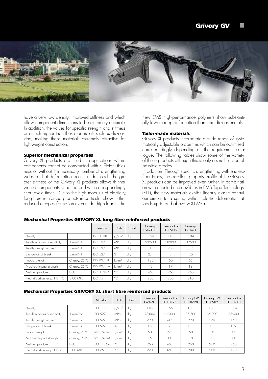

have a very low density, improved stiffness and which allow component dimensions to be extremely accurate. In addition, the values for specific strength and stiffness are much higher than those for metals such as die-cast zinc, making these materials extremely attractive for lightweight construction.

## **Superior mechanical properties**

Grivory XL products are used in applications where components cannot be constructed with sufficient thickness or without the necessary number of strengthening webs so that deformation occurs under load. The greater stiffness of the Grivory XL products allows thinnerwalled components to be realised with correspondingly short cycle times. Due to the high modulus of elasticity, long fibre reinforced products in particular show further reduced creep deformation even under high loads. The

new EMS high-performance polymers show substantially lower creep deformation than zinc die-cast metals.

#### **Tailor-made materials**

Grivory XL products incorporate a wide range of systematically adjustable properties which can be optimised correspondingly depending on the requirement catalogue. The following tables show some of the variety of these products although this is only a small section of possible grades.

In addition: Through specific strengthening with endlessfiber tapes, the excellent property profile of the Grivory XL products can be improved even further. In combination with oriented endless-fibres in EMS Tape Technology (ETT), the new materials exhibit linearly elastic behaviour similar to a spring without plastic deformation at loads up to and above 200 MPa.

|                               |                    | Standard         | Units               | Cond. | Grivory<br>GVL-6H HP | Grivory GV<br>FE 16119 | Grivory<br>GCL-4H |
|-------------------------------|--------------------|------------------|---------------------|-------|----------------------|------------------------|-------------------|
| Density                       |                    | ISO 1138         | q/cm <sup>3</sup>   | dry   | 1.69                 | 1.61                   | 1.34              |
| Tensile modulus of elasticity | mm/min             | <b>ISO 527</b>   | MPa                 | dry   | 23'500               | 38'000                 | 30'500            |
| Tensile strength at break     | $5 \text{ mm/min}$ | <b>ISO 527</b>   | MPa                 | dry   | 315                  | 280                    | 335               |
| Elongation at break           | $5 \text{ mm/min}$ | <b>ISO 527</b>   | %                   | dry   | 2.1                  | 1.1                    | 1.5               |
| Impact strength               | Charpy, 23°C       | ISO 179/1eU      | kl/m <sup>2</sup>   | drv   | 125                  | 60                     | 65                |
| Notched impact strength       | Charpy, 23°C       | ISO 179/1eA      | $k$ /m <sup>2</sup> | dry   | 45                   | 17                     | 18                |
| Melt temperature              | DSC                | <b>ISO 11357</b> | $^{\circ}$ C        | drv   | 260                  | 260                    | 260               |
| Heat distortion temp. HDT/C   | 8.00 MPa           | ISOZ5            | $^{\circ}$ C        | drv   | 230                  | 230                    | 210               |

#### **Mechanical Properties GRIVORY XL long fibre reinforced products**

#### **Mechanical Properties GRIVORY XL short fibre reinforced products**

|                               |                    | Standard          | Units               | Cond. | Grivory<br>GVX-7H | Grivory GV<br>FE 10727 | <b>Grivory GV</b><br>FE 10728 | Grivory GV<br>FE 8902 | Grivory GV<br>FE 10740 |
|-------------------------------|--------------------|-------------------|---------------------|-------|-------------------|------------------------|-------------------------------|-----------------------|------------------------|
| Density                       |                    | ISO 1138          | g/cm <sup>3</sup>   | drv   | .85               | 1.55                   | .73                           | 1.73                  | 1.69                   |
| Tensile modulus of elasticity | mm/min             | <b>ISO 527</b>    | MPa                 | drv   | 28'000            | 21'000                 | 3.5'500                       | 35'000                | 35'000                 |
| Tensile strength at break     | $5 \text{ mm/min}$ | <b>ISO 527</b>    | MPa                 | drv   | 290               | 245                    | 220                           | 270                   | 160                    |
| Elongation at break           | $5 \text{ mm/min}$ | <b>ISO 527</b>    | %                   | drv   | 1.5               | $\mathfrak{D}$         | 0.8                           | 1.3                   | 0.5                    |
| Impact strength               | Charpy, 23°C       | ISO 179/1eU       | $k$ /m <sup>2</sup> | drv   | 60                | 65                     | 50                            | 50                    | 45                     |
| Notched impact strength       | Charpy, 23°C       | ISO 179/1eA       | $k$ /m <sup>2</sup> | drv   | 1.5               |                        | 10                            | $\overline{1}$        | 11                     |
| Melt temperature              | <b>DSC</b>         | ISO 11357         | $^{\circ}$ C        | drv   | 260               | 260                    | 260                           | 260                   | 260                    |
| Heat distortion temp. HDT/C   | 8.00 MPa           | ISO <sub>75</sub> | $^{\circ}$ C        | drv   | 220               | 160                    | 200                           | 200                   | 170                    |